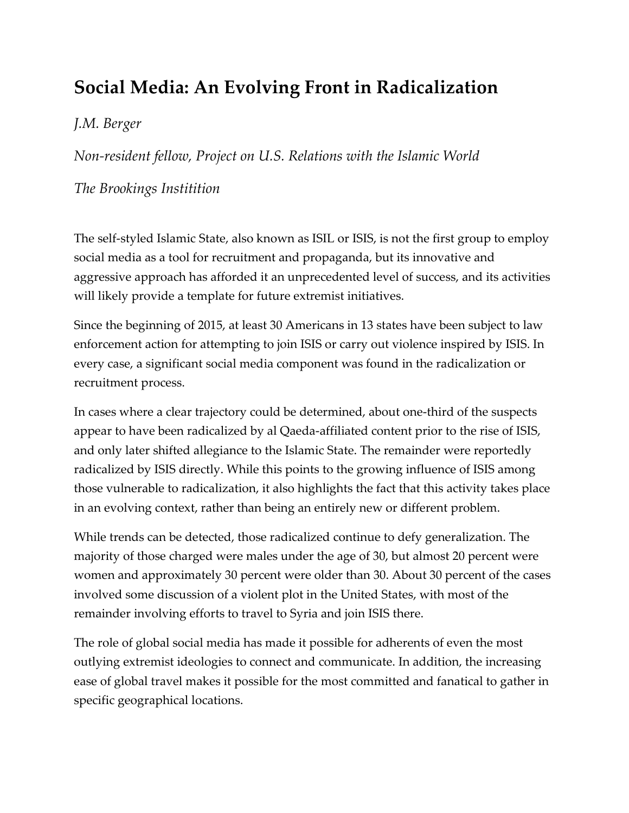## **Social Media: An Evolving Front in Radicalization**

## *J.M. Berger*

*Non-resident fellow, Project on U.S. Relations with the Islamic World*

## *The Brookings Institition*

The self-styled Islamic State, also known as ISIL or ISIS, is not the first group to employ social media as a tool for recruitment and propaganda, but its innovative and aggressive approach has afforded it an unprecedented level of success, and its activities will likely provide a template for future extremist initiatives.

Since the beginning of 2015, at least 30 Americans in 13 states have been subject to law enforcement action for attempting to join ISIS or carry out violence inspired by ISIS. In every case, a significant social media component was found in the radicalization or recruitment process.

In cases where a clear trajectory could be determined, about one-third of the suspects appear to have been radicalized by al Qaeda-affiliated content prior to the rise of ISIS, and only later shifted allegiance to the Islamic State. The remainder were reportedly radicalized by ISIS directly. While this points to the growing influence of ISIS among those vulnerable to radicalization, it also highlights the fact that this activity takes place in an evolving context, rather than being an entirely new or different problem.

While trends can be detected, those radicalized continue to defy generalization. The majority of those charged were males under the age of 30, but almost 20 percent were women and approximately 30 percent were older than 30. About 30 percent of the cases involved some discussion of a violent plot in the United States, with most of the remainder involving efforts to travel to Syria and join ISIS there.

The role of global social media has made it possible for adherents of even the most outlying extremist ideologies to connect and communicate. In addition, the increasing ease of global travel makes it possible for the most committed and fanatical to gather in specific geographical locations.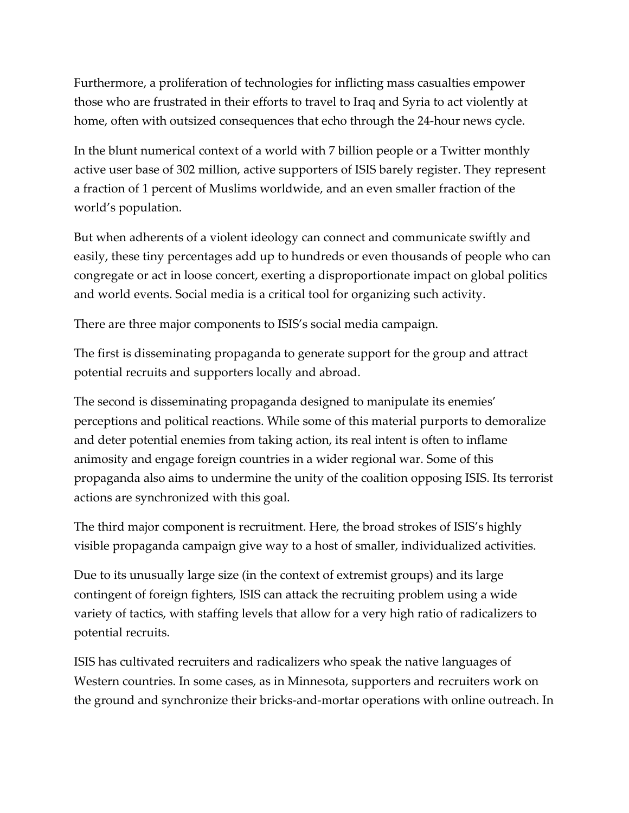Furthermore, a proliferation of technologies for inflicting mass casualties empower those who are frustrated in their efforts to travel to Iraq and Syria to act violently at home, often with outsized consequences that echo through the 24-hour news cycle.

In the blunt numerical context of a world with 7 billion people or a Twitter monthly active user base of 302 million, active supporters of ISIS barely register. They represent a fraction of 1 percent of Muslims worldwide, and an even smaller fraction of the world's population.

But when adherents of a violent ideology can connect and communicate swiftly and easily, these tiny percentages add up to hundreds or even thousands of people who can congregate or act in loose concert, exerting a disproportionate impact on global politics and world events. Social media is a critical tool for organizing such activity.

There are three major components to ISIS's social media campaign.

The first is disseminating propaganda to generate support for the group and attract potential recruits and supporters locally and abroad.

The second is disseminating propaganda designed to manipulate its enemies' perceptions and political reactions. While some of this material purports to demoralize and deter potential enemies from taking action, its real intent is often to inflame animosity and engage foreign countries in a wider regional war. Some of this propaganda also aims to undermine the unity of the coalition opposing ISIS. Its terrorist actions are synchronized with this goal.

The third major component is recruitment. Here, the broad strokes of ISIS's highly visible propaganda campaign give way to a host of smaller, individualized activities.

Due to its unusually large size (in the context of extremist groups) and its large contingent of foreign fighters, ISIS can attack the recruiting problem using a wide variety of tactics, with staffing levels that allow for a very high ratio of radicalizers to potential recruits.

ISIS has cultivated recruiters and radicalizers who speak the native languages of Western countries. In some cases, as in Minnesota, supporters and recruiters work on the ground and synchronize their bricks-and-mortar operations with online outreach. In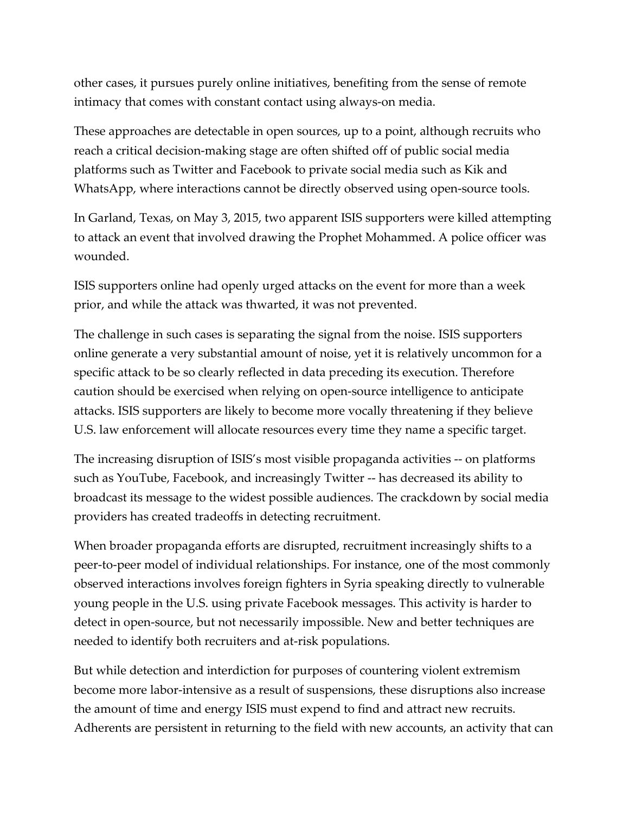other cases, it pursues purely online initiatives, benefiting from the sense of remote intimacy that comes with constant contact using always-on media.

These approaches are detectable in open sources, up to a point, although recruits who reach a critical decision-making stage are often shifted off of public social media platforms such as Twitter and Facebook to private social media such as Kik and WhatsApp, where interactions cannot be directly observed using open-source tools.

In Garland, Texas, on May 3, 2015, two apparent ISIS supporters were killed attempting to attack an event that involved drawing the Prophet Mohammed. A police officer was wounded.

ISIS supporters online had openly urged attacks on the event for more than a week prior, and while the attack was thwarted, it was not prevented.

The challenge in such cases is separating the signal from the noise. ISIS supporters online generate a very substantial amount of noise, yet it is relatively uncommon for a specific attack to be so clearly reflected in data preceding its execution. Therefore caution should be exercised when relying on open-source intelligence to anticipate attacks. ISIS supporters are likely to become more vocally threatening if they believe U.S. law enforcement will allocate resources every time they name a specific target.

The increasing disruption of ISIS's most visible propaganda activities -- on platforms such as YouTube, Facebook, and increasingly Twitter -- has decreased its ability to broadcast its message to the widest possible audiences. The crackdown by social media providers has created tradeoffs in detecting recruitment.

When broader propaganda efforts are disrupted, recruitment increasingly shifts to a peer-to-peer model of individual relationships. For instance, one of the most commonly observed interactions involves foreign fighters in Syria speaking directly to vulnerable young people in the U.S. using private Facebook messages. This activity is harder to detect in open-source, but not necessarily impossible. New and better techniques are needed to identify both recruiters and at-risk populations.

But while detection and interdiction for purposes of countering violent extremism become more labor-intensive as a result of suspensions, these disruptions also increase the amount of time and energy ISIS must expend to find and attract new recruits. Adherents are persistent in returning to the field with new accounts, an activity that can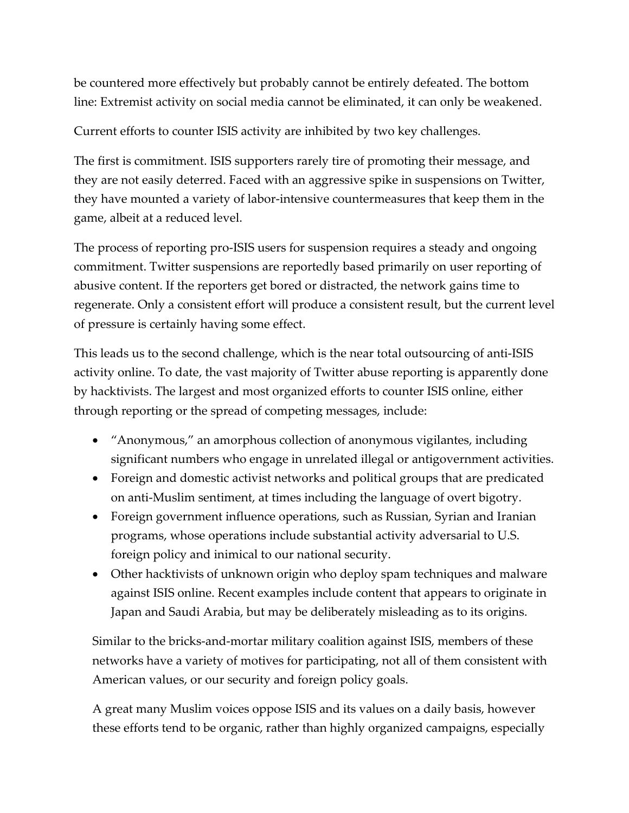be countered more effectively but probably cannot be entirely defeated. The bottom line: Extremist activity on social media cannot be eliminated, it can only be weakened.

Current efforts to counter ISIS activity are inhibited by two key challenges.

The first is commitment. ISIS supporters rarely tire of promoting their message, and they are not easily deterred. Faced with an aggressive spike in suspensions on Twitter, they have mounted a variety of labor-intensive countermeasures that keep them in the game, albeit at a reduced level.

The process of reporting pro-ISIS users for suspension requires a steady and ongoing commitment. Twitter suspensions are reportedly based primarily on user reporting of abusive content. If the reporters get bored or distracted, the network gains time to regenerate. Only a consistent effort will produce a consistent result, but the current level of pressure is certainly having some effect.

This leads us to the second challenge, which is the near total outsourcing of anti-ISIS activity online. To date, the vast majority of Twitter abuse reporting is apparently done by hacktivists. The largest and most organized efforts to counter ISIS online, either through reporting or the spread of competing messages, include:

- "Anonymous," an amorphous collection of anonymous vigilantes, including significant numbers who engage in unrelated illegal or antigovernment activities.
- Foreign and domestic activist networks and political groups that are predicated on anti-Muslim sentiment, at times including the language of overt bigotry.
- Foreign government influence operations, such as Russian, Syrian and Iranian programs, whose operations include substantial activity adversarial to U.S. foreign policy and inimical to our national security.
- Other hacktivists of unknown origin who deploy spam techniques and malware against ISIS online. Recent examples include content that appears to originate in Japan and Saudi Arabia, but may be deliberately misleading as to its origins.

Similar to the bricks-and-mortar military coalition against ISIS, members of these networks have a variety of motives for participating, not all of them consistent with American values, or our security and foreign policy goals.

A great many Muslim voices oppose ISIS and its values on a daily basis, however these efforts tend to be organic, rather than highly organized campaigns, especially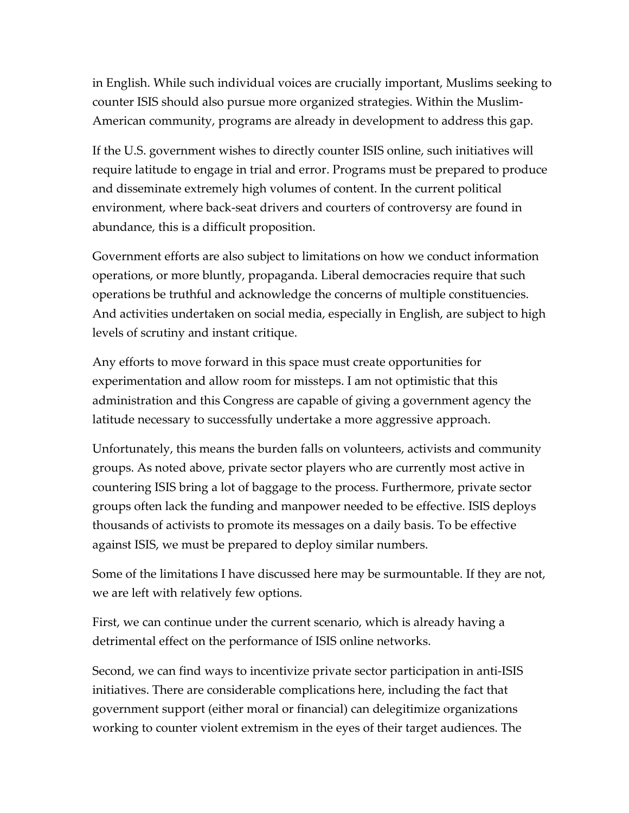in English. While such individual voices are crucially important, Muslims seeking to counter ISIS should also pursue more organized strategies. Within the Muslim-American community, programs are already in development to address this gap.

If the U.S. government wishes to directly counter ISIS online, such initiatives will require latitude to engage in trial and error. Programs must be prepared to produce and disseminate extremely high volumes of content. In the current political environment, where back-seat drivers and courters of controversy are found in abundance, this is a difficult proposition.

Government efforts are also subject to limitations on how we conduct information operations, or more bluntly, propaganda. Liberal democracies require that such operations be truthful and acknowledge the concerns of multiple constituencies. And activities undertaken on social media, especially in English, are subject to high levels of scrutiny and instant critique.

Any efforts to move forward in this space must create opportunities for experimentation and allow room for missteps. I am not optimistic that this administration and this Congress are capable of giving a government agency the latitude necessary to successfully undertake a more aggressive approach.

Unfortunately, this means the burden falls on volunteers, activists and community groups. As noted above, private sector players who are currently most active in countering ISIS bring a lot of baggage to the process. Furthermore, private sector groups often lack the funding and manpower needed to be effective. ISIS deploys thousands of activists to promote its messages on a daily basis. To be effective against ISIS, we must be prepared to deploy similar numbers.

Some of the limitations I have discussed here may be surmountable. If they are not, we are left with relatively few options.

First, we can continue under the current scenario, which is already having a detrimental effect on the performance of ISIS online networks.

Second, we can find ways to incentivize private sector participation in anti-ISIS initiatives. There are considerable complications here, including the fact that government support (either moral or financial) can delegitimize organizations working to counter violent extremism in the eyes of their target audiences. The